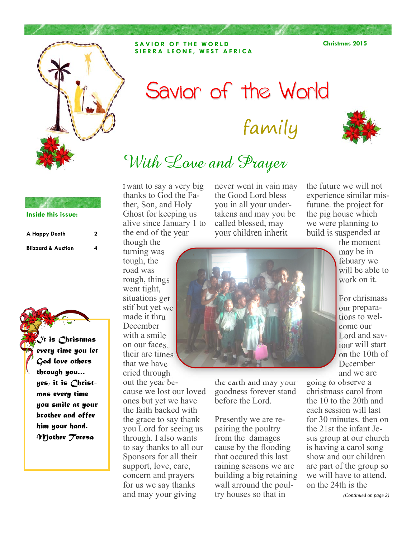

**SAVIOR OF THE WORLD SIERRA LEONE, WEST AFRICA**  **Christmas 2015** 

# Savior of the World family



# With Love and Prayer

### **Inside this issue:**

| A Happy Death                 | 2 |
|-------------------------------|---|
| <b>Blizzard &amp; Auction</b> | 4 |

*It is Christmas every time you let God love others through you… yes, it is Christmas every time you smile at your brother and offer him your hand. Mother Teresa* 

I want to say a very big thanks to God the Father, Son, and Holy Ghost for keeping us alive since January 1 to the end of the year

turning was tough, the road was rough, things went tight, situations get stif but yet we made it thru December with a smile on our faces. their are times that we have cried through out the year because we lost our loved ones but yet we have the faith backed with the grace to say thank you Lord for seeing us through. I also wants to say thanks to all our Sponsors for all their support, love, care, concern and prayers for us we say thanks and may your giving

never went in vain may the Good Lord bless you in all your undertakens and may you be called blessed, may your children inherit

the future we will not experience similar misfutune. the project for the pig house which we were planning to build is suspended at

though the



the earth and may your goodness forever stand before the Lord.

Presently we are repairing the poultry from the damages cause by the flooding that occured this last raining seasons we are building a big retaining wall arround the poultry houses so that in

the moment may be in febuary we will be able to work on it.

For chrismass our preparations to welcome our Lord and saviour will start on the 10th of December and we are

going to observe a christmass carol from the 10 to the 20th and each session will last for 30 minutes. then on the 21st the infant Jesus group at our church is having a carol song show and our children are part of the group so we will have to attend. on the 24th is the

### *(Continued on page 2)*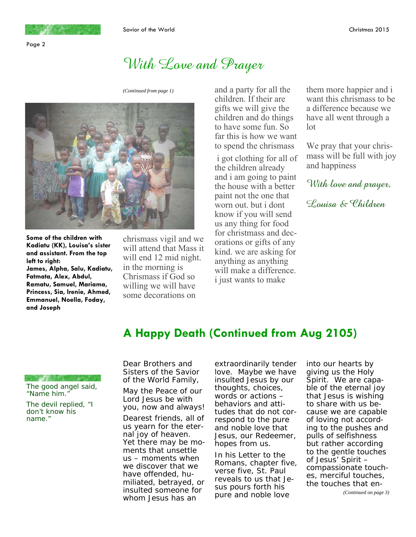

## With Love and Prayer



**Some of the children with Kadiatu (KK), Louisa's sister and assistant. From the top left to right: James, Alpha, Salu, Kadiatu, Fatmata, Alex, Abdul, Ramatu, Samuel, Mariama, Princess, Sia, Irenie, Ahmed, Emmanuel, Noella, Foday, and Joseph** 

chrismass vigil and we will attend that Mass it will end 12 mid night. in the morning is Chrismass if God so willing we will have some decorations on

*(Continued from page 1)* and a party for all the children. If their are gifts we will give the children and do things to have some fun. So far this is how we want to spend the chrismass

> i got clothing for all of the children already and i am going to paint the house with a better paint not the one that worn out. but i dont know if you will send us any thing for food for christmass and decorations or gifts of any kind. we are asking for anything as anything will make a difference. i just wants to make

them more happier and i want this chrismass to be a difference because we have all went through a lot

We pray that your chrismass will be full with joy and happiness

With love and prayer,

Louisa & Children

## **A Happy Death (Continued from Aug 2105)**

The good angel said, "Name him."

The devil replied, "I don't know his name."

Dear Brothers and Sisters of the Savior of the World Family,

May the Peace of our Lord Jesus be with you, now and always!

Dearest friends, all of us yearn for the eternal joy of heaven. Yet there may be moments that unsettle us – moments when we discover that we have offended, humiliated, betrayed, or insulted someone for whom Jesus has an

extraordinarily tender love. Maybe we have insulted Jesus by our thoughts, choices, words or actions – behaviors and attitudes that do not correspond to the pure and noble love that Jesus, our Redeemer, hopes from us.

In his Letter to the Romans, chapter five, verse five, St. Paul reveals to us that Jesus pours forth his pure and noble love

into our hearts by giving us the Holy Spirit. We are capable of the eternal joy that Jesus is wishing to share with us because we are capable of loving not according to the pushes and pulls of selfishness but rather according to the gentle touches of Jesus' Spirit – compassionate touches, merciful touches, the touches that en-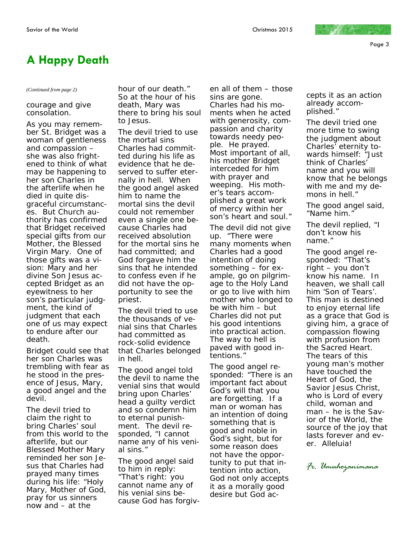Page 3

### **A Happy Death**

courage and give consolation.

As you may remember St. Bridget was a woman of gentleness and compassion – she was also frightened to think of what may be happening to her son Charles in the afterlife when he died in quite disgraceful circumstances. But Church authority has confirmed that Bridget received special gifts from our Mother, the Blessed Virgin Mary. One of those gifts was a vision: Mary and her divine Son Jesus accepted Bridget as an eyewitness to her son's particular judgment, the kind of judgment that each one of us may expect to endure after our death.

Bridget could see that her son Charles was trembling with fear as he stood in the presence of Jesus, Mary, a good angel and the devil.

The devil tried to claim the right to bring Charles' soul from this world to the afterlife, but our Blessed Mother Mary reminded her son Jesus that Charles had prayed many times during his life: "Holy Mary, Mother of God, pray for us sinners now and – at the

*(Continued from page 2)* hour of our death." So at the hour of his death, Mary was there to bring his soul to Jesus.

> The devil tried to use the mortal sins Charles had committed during his life as evidence that he deserved to suffer eternally in hell. When the good angel asked him to name the mortal sins the devil could not remember even a single one because Charles had received absolution for the mortal sins he had committed; and God forgave him the sins that he intended to confess even if he did not have the opportunity to see the priest.

The devil tried to use the thousands of venial sins that Charles had committed as rock-solid evidence that Charles belonged in hell.

The good angel told the devil to name the venial sins that would bring upon Charles' head a guilty verdict and so condemn him to eternal punishment. The devil responded, "I cannot name any of his venial sins."

The good angel said to him in reply: "That's right: you cannot name any of his venial sins because God has forgiven all of them – those sins are gone. Charles had his moments when he acted with generosity, compassion and charity towards needy people. He prayed. Most important of all, his mother Bridget interceded for him with prayer and weeping. His mother's tears accomplished a great work of mercy within her son's heart and soul."

The devil did not give up. "There were many moments when Charles had a good intention of doing something – for example, go on pilgrimage to the Holy Land or go to live with him mother who longed to be with him – but Charles did not put his good intentions into practical action. The way to hell is paved with good intentions."

The good angel responded: "There is an important fact about God's will that you are forgetting. If a man or woman has an intention of doing something that is good and noble in God's sight, but for some reason does not have the opportunity to put that intention into action, God not only accepts it as a morally good desire but God accepts it as an action already accomplished."

The devil tried one more time to swing the judgment about Charles' eternity towards himself: "Just think of Charles' name and you will know that he belongs with me and my demons in hell."

The good angel said, "Name him."

The devil replied, "I don't know his name."

The good angel responded: "That's right – you don't know his name. In heaven, we shall call him 'Son of Tears'. This man is destined to enjoy eternal life as a grace that God is giving him, a grace of compassion flowing with profusion from the Sacred Heart. The tears of this young man's mother have touched the Heart of God, the Savior Jesus Christ, who is Lord of every child, woman and man – he is the Savior of the World, the source of the joy that lasts forever and ever. Alleluia!

*Fr. Umuhozanimana*